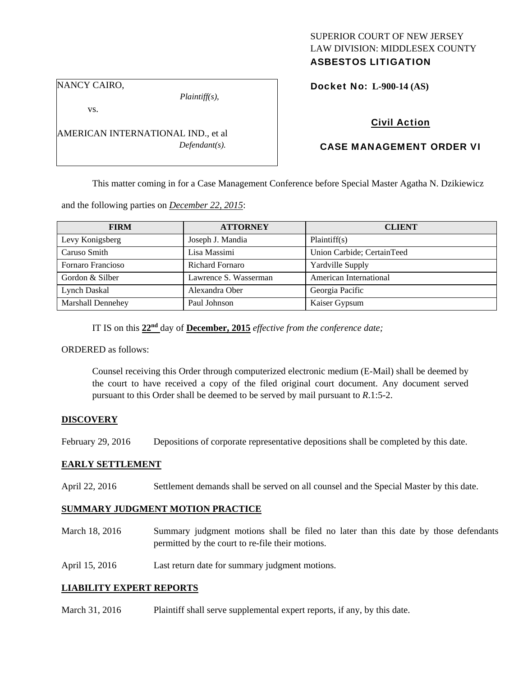# SUPERIOR COURT OF NEW JERSEY LAW DIVISION: MIDDLESEX COUNTY

## ASBESTOS LITIGATION

NANCY CAIRO,

*Plaintiff(s),* 

Docket No: **L-900-14 (AS)** 

vs.

AMERICAN INTERNATIONAL IND., et al *Defendant(s).* 

## Civil Action

## CASE MANAGEMENT ORDER VI

This matter coming in for a Case Management Conference before Special Master Agatha N. Dzikiewicz

and the following parties on *December 22, 2015*:

| <b>FIRM</b>       | <b>ATTORNEY</b>        | <b>CLIENT</b>              |
|-------------------|------------------------|----------------------------|
| Levy Konigsberg   | Joseph J. Mandia       | Plaintiff(s)               |
| Caruso Smith      | Lisa Massimi           | Union Carbide; CertainTeed |
| Fornaro Francioso | <b>Richard Fornaro</b> | Yardville Supply           |
| Gordon & Silber   | Lawrence S. Wasserman  | American International     |
| Lynch Daskal      | Alexandra Ober         | Georgia Pacific            |
| Marshall Dennehey | Paul Johnson           | Kaiser Gypsum              |

IT IS on this **22nd** day of **December, 2015** *effective from the conference date;* 

ORDERED as follows:

Counsel receiving this Order through computerized electronic medium (E-Mail) shall be deemed by the court to have received a copy of the filed original court document. Any document served pursuant to this Order shall be deemed to be served by mail pursuant to *R*.1:5-2.

## **DISCOVERY**

February 29, 2016 Depositions of corporate representative depositions shall be completed by this date.

#### **EARLY SETTLEMENT**

April 22, 2016 Settlement demands shall be served on all counsel and the Special Master by this date.

## **SUMMARY JUDGMENT MOTION PRACTICE**

- March 18, 2016 Summary judgment motions shall be filed no later than this date by those defendants permitted by the court to re-file their motions.
- April 15, 2016 Last return date for summary judgment motions.

## **LIABILITY EXPERT REPORTS**

March 31, 2016 Plaint iff shall serve supplemental expert reports, if any, by this date.